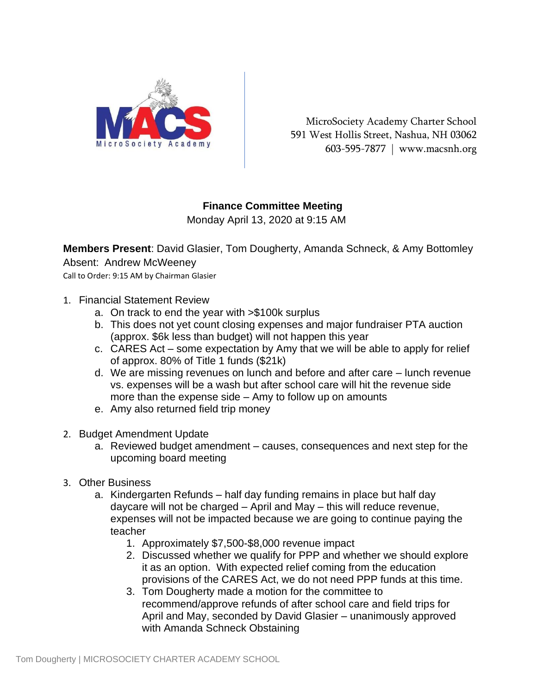

MicroSociety Academy Charter School 591 West Hollis Street, Nashua, NH 03062 603-595-7877 | www.macsnh.org

## **Finance Committee Meeting**

Monday April 13, 2020 at 9:15 AM

**Members Present**: David Glasier, Tom Dougherty, Amanda Schneck, & Amy Bottomley Absent: Andrew McWeeney

Call to Order: 9:15 AM by Chairman Glasier

- 1. Financial Statement Review
	- a. On track to end the year with >\$100k surplus
	- b. This does not yet count closing expenses and major fundraiser PTA auction (approx. \$6k less than budget) will not happen this year
	- c. CARES Act some expectation by Amy that we will be able to apply for relief of approx. 80% of Title 1 funds (\$21k)
	- d. We are missing revenues on lunch and before and after care lunch revenue vs. expenses will be a wash but after school care will hit the revenue side more than the expense side – Amy to follow up on amounts
	- e. Amy also returned field trip money
- 2. Budget Amendment Update
	- a. Reviewed budget amendment causes, consequences and next step for the upcoming board meeting
- 3. Other Business
	- a. Kindergarten Refunds half day funding remains in place but half day daycare will not be charged – April and May – this will reduce revenue, expenses will not be impacted because we are going to continue paying the teacher
		- 1. Approximately \$7,500-\$8,000 revenue impact
		- 2. Discussed whether we qualify for PPP and whether we should explore it as an option. With expected relief coming from the education provisions of the CARES Act, we do not need PPP funds at this time.
		- 3. Tom Dougherty made a motion for the committee to recommend/approve refunds of after school care and field trips for April and May, seconded by David Glasier – unanimously approved with Amanda Schneck Obstaining